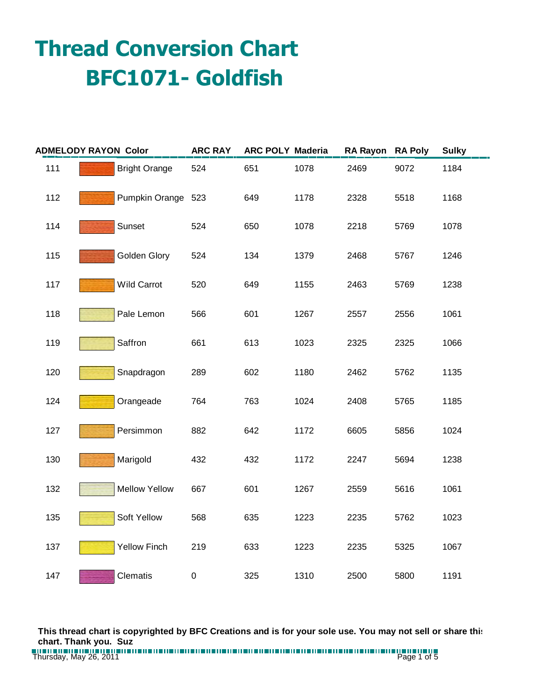## **Thread Conversion Chart BFC1071- Goldfish**

| <b>ADMELODY RAYON Color</b> |                      | <b>ARC RAY</b> | <b>ARC POLY Maderia</b> |      | <b>RA Rayon</b> | <b>RA Poly</b> | <b>Sulky</b> |
|-----------------------------|----------------------|----------------|-------------------------|------|-----------------|----------------|--------------|
| 111                         | <b>Bright Orange</b> | 524            | 651                     | 1078 | 2469            | 9072           | 1184         |
| 112                         | Pumpkin Orange 523   |                | 649                     | 1178 | 2328            | 5518           | 1168         |
| 114                         | Sunset               | 524            | 650                     | 1078 | 2218            | 5769           | 1078         |
| 115                         | Golden Glory         | 524            | 134                     | 1379 | 2468            | 5767           | 1246         |
| 117                         | Wild Carrot          | 520            | 649                     | 1155 | 2463            | 5769           | 1238         |
| 118                         | Pale Lemon           | 566            | 601                     | 1267 | 2557            | 2556           | 1061         |
| 119                         | Saffron              | 661            | 613                     | 1023 | 2325            | 2325           | 1066         |
| 120                         | Snapdragon           | 289            | 602                     | 1180 | 2462            | 5762           | 1135         |
| 124                         | Orangeade            | 764            | 763                     | 1024 | 2408            | 5765           | 1185         |
| 127                         | Persimmon            | 882            | 642                     | 1172 | 6605            | 5856           | 1024         |
| 130                         | Marigold             | 432            | 432                     | 1172 | 2247            | 5694           | 1238         |
| 132                         | <b>Mellow Yellow</b> | 667            | 601                     | 1267 | 2559            | 5616           | 1061         |
| 135                         | Soft Yellow          | 568            | 635                     | 1223 | 2235            | 5762           | 1023         |
| 137                         | <b>Yellow Finch</b>  | 219            | 633                     | 1223 | 2235            | 5325           | 1067         |
| 147                         | Clematis             | $\pmb{0}$      | 325                     | 1310 | 2500            | 5800           | 1191         |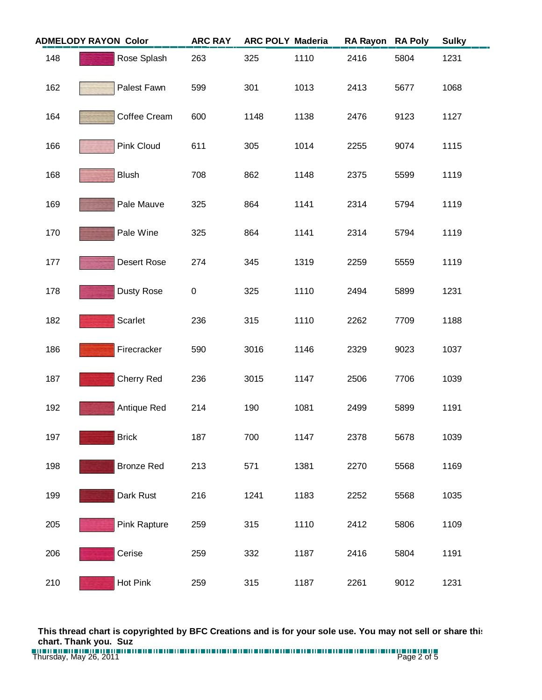| <b>ADMELODY RAYON Color</b> |                   | <b>ARC RAY</b> | <b>ARC POLY Maderia</b> |      | <b>RA Rayon</b> | <b>RA Poly</b> | <b>Sulky</b> |  |
|-----------------------------|-------------------|----------------|-------------------------|------|-----------------|----------------|--------------|--|
| 148                         | Rose Splash       | 263            | 325                     | 1110 | 2416            | 5804           | 1231         |  |
| 162                         | Palest Fawn       | 599            | 301                     | 1013 | 2413            | 5677           | 1068         |  |
| 164                         | Coffee Cream      | 600            | 1148                    | 1138 | 2476            | 9123           | 1127         |  |
| 166                         | Pink Cloud        | 611            | 305                     | 1014 | 2255            | 9074           | 1115         |  |
| 168                         | <b>Blush</b>      | 708            | 862                     | 1148 | 2375            | 5599           | 1119         |  |
| 169                         | Pale Mauve        | 325            | 864                     | 1141 | 2314            | 5794           | 1119         |  |
| 170                         | Pale Wine         | 325            | 864                     | 1141 | 2314            | 5794           | 1119         |  |
| 177                         | Desert Rose       | 274            | 345                     | 1319 | 2259            | 5559           | 1119         |  |
| 178                         | <b>Dusty Rose</b> | $\pmb{0}$      | 325                     | 1110 | 2494            | 5899           | 1231         |  |
| 182                         | Scarlet           | 236            | 315                     | 1110 | 2262            | 7709           | 1188         |  |
| 186                         | Firecracker       | 590            | 3016                    | 1146 | 2329            | 9023           | 1037         |  |
| 187                         | Cherry Red        | 236            | 3015                    | 1147 | 2506            | 7706           | 1039         |  |
| 192                         | Antique Red       | 214            | 190                     | 1081 | 2499            | 5899           | 1191         |  |
| 197                         | <b>Brick</b>      | 187            | 700                     | 1147 | 2378            | 5678           | 1039         |  |
| 198                         | <b>Bronze Red</b> | 213            | 571                     | 1381 | 2270            | 5568           | 1169         |  |
| 199                         | Dark Rust         | 216            | 1241                    | 1183 | 2252            | 5568           | 1035         |  |
| 205                         | Pink Rapture      | 259            | 315                     | 1110 | 2412            | 5806           | 1109         |  |
| 206                         | Cerise            | 259            | 332                     | 1187 | 2416            | 5804           | 1191         |  |
| 210                         | Hot Pink          | 259            | 315                     | 1187 | 2261            | 9012           | 1231         |  |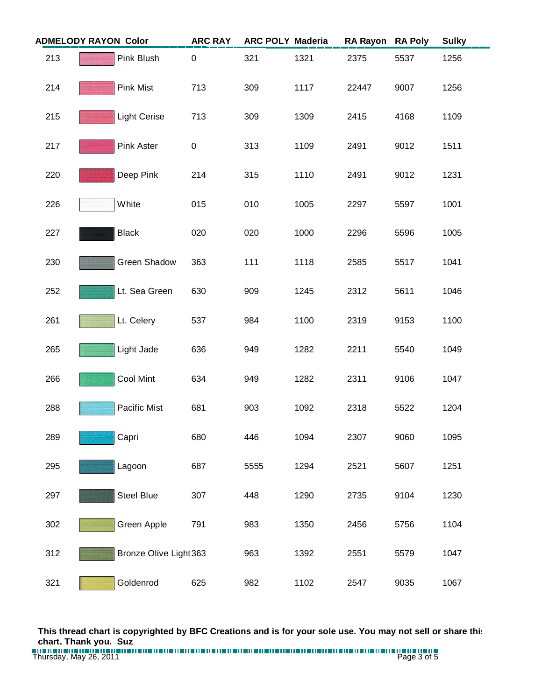| <b>ADMELODY RAYON Color</b> |                     | <b>ARC RAY</b>         |      | <b>ARC POLY Maderia</b> | <b>RA Rayon</b> | <b>RA Poly</b> | <b>Sulky</b> |
|-----------------------------|---------------------|------------------------|------|-------------------------|-----------------|----------------|--------------|
| 213                         | Pink Blush          | 0                      | 321  | 1321                    | 2375            | 5537           | 1256         |
| 214                         | <b>Pink Mist</b>    | 713                    | 309  | 1117                    | 22447           | 9007           | 1256         |
| 215                         | <b>Light Cerise</b> | 713                    | 309  | 1309                    | 2415            | 4168           | 1109         |
| 217                         | Pink Aster          | $\pmb{0}$              | 313  | 1109                    | 2491            | 9012           | 1511         |
| 220                         | Deep Pink           | 214                    | 315  | 1110                    | 2491            | 9012           | 1231         |
| 226                         | White               | 015                    | 010  | 1005                    | 2297            | 5597           | 1001         |
| 227                         | <b>Black</b>        | 020                    | 020  | 1000                    | 2296            | 5596           | 1005         |
| 230                         | Green Shadow        | 363                    | 111  | 1118                    | 2585            | 5517           | 1041         |
| 252                         | Lt. Sea Green       | 630                    | 909  | 1245                    | 2312            | 5611           | 1046         |
| 261                         | Lt. Celery          | 537                    | 984  | 1100                    | 2319            | 9153           | 1100         |
| 265                         | Light Jade          | 636                    | 949  | 1282                    | 2211            | 5540           | 1049         |
| 266                         | Cool Mint           | 634                    | 949  | 1282                    | 2311            | 9106           | 1047         |
| 288                         | Pacific Mist        | 681                    | 903  | 1092                    | 2318            | 5522           | 1204         |
| 289                         | Capri               | 680                    | 446  | 1094                    | 2307            | 9060           | 1095         |
| 295                         | Lagoon              | 687                    | 5555 | 1294                    | 2521            | 5607           | 1251         |
| 297                         | Steel Blue          | 307                    | 448  | 1290                    | 2735            | 9104           | 1230         |
| 302                         | Green Apple         | 791                    | 983  | 1350                    | 2456            | 5756           | 1104         |
| 312                         |                     | Bronze Olive Light 363 | 963  | 1392                    | 2551            | 5579           | 1047         |
| 321                         | Goldenrod           | 625                    | 982  | 1102                    | 2547            | 9035           | 1067         |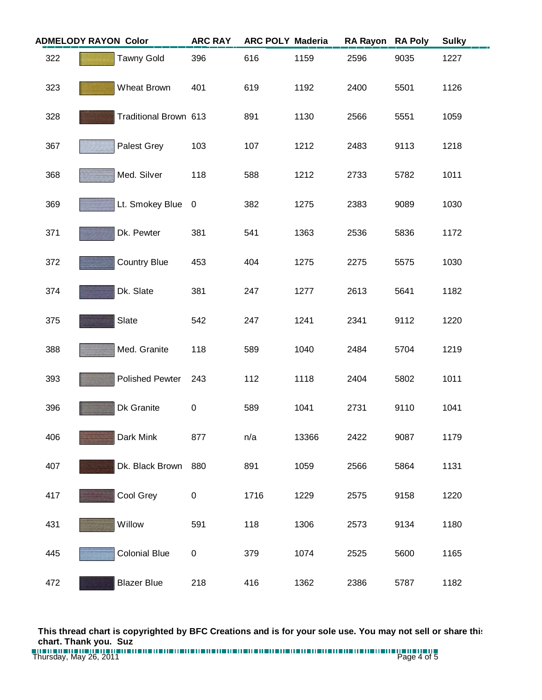| <b>ADMELODY RAYON Color</b> |  | <b>ARC RAY</b>         | <b>ARC POLY Maderia</b> |      | <b>RA Rayon</b> | <b>RA Poly</b> | <b>Sulky</b> |      |
|-----------------------------|--|------------------------|-------------------------|------|-----------------|----------------|--------------|------|
| 322                         |  | <b>Tawny Gold</b>      | 396                     | 616  | 1159            | 2596           | 9035         | 1227 |
| 323                         |  | Wheat Brown            | 401                     | 619  | 1192            | 2400           | 5501         | 1126 |
| 328                         |  | Traditional Brown 613  |                         | 891  | 1130            | 2566           | 5551         | 1059 |
| 367                         |  | Palest Grey            | 103                     | 107  | 1212            | 2483           | 9113         | 1218 |
| 368                         |  | Med. Silver            | 118                     | 588  | 1212            | 2733           | 5782         | 1011 |
| 369                         |  | Lt. Smokey Blue        | $\overline{\mathbf{0}}$ | 382  | 1275            | 2383           | 9089         | 1030 |
| 371                         |  | Dk. Pewter             | 381                     | 541  | 1363            | 2536           | 5836         | 1172 |
| 372                         |  | <b>Country Blue</b>    | 453                     | 404  | 1275            | 2275           | 5575         | 1030 |
| 374                         |  | Dk. Slate              | 381                     | 247  | 1277            | 2613           | 5641         | 1182 |
| 375                         |  | Slate                  | 542                     | 247  | 1241            | 2341           | 9112         | 1220 |
| 388                         |  | Med. Granite           | 118                     | 589  | 1040            | 2484           | 5704         | 1219 |
| 393                         |  | <b>Polished Pewter</b> | 243                     | 112  | 1118            | 2404           | 5802         | 1011 |
| 396                         |  | Dk Granite             | $\pmb{0}$               | 589  | 1041            | 2731           | 9110         | 1041 |
| 406                         |  | Dark Mink              | 877                     | n/a  | 13366           | 2422           | 9087         | 1179 |
| 407                         |  | Dk. Black Brown        | 880                     | 891  | 1059            | 2566           | 5864         | 1131 |
| 417                         |  | Cool Grey              | 0                       | 1716 | 1229            | 2575           | 9158         | 1220 |
| 431                         |  | Willow                 | 591                     | 118  | 1306            | 2573           | 9134         | 1180 |
| 445                         |  | <b>Colonial Blue</b>   | 0                       | 379  | 1074            | 2525           | 5600         | 1165 |
| 472                         |  | <b>Blazer Blue</b>     | 218                     | 416  | 1362            | 2386           | 5787         | 1182 |